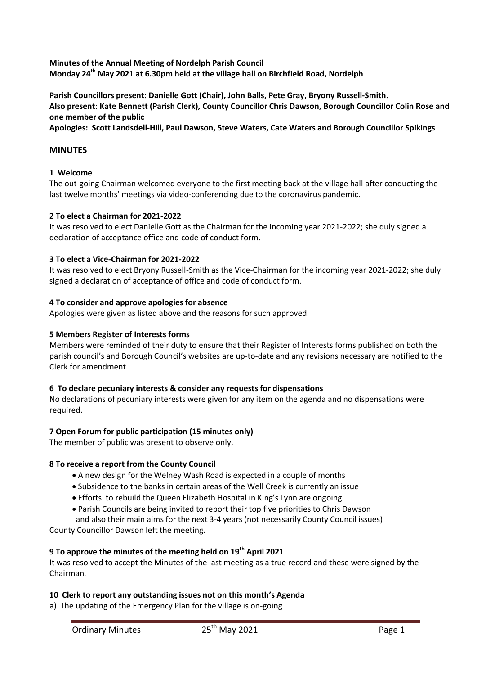**Minutes of the Annual Meeting of Nordelph Parish Council Monday 24th May 2021 at 6.30pm held at the village hall on Birchfield Road, Nordelph**

**Parish Councillors present: Danielle Gott (Chair), John Balls, Pete Gray, Bryony Russell-Smith. Also present: Kate Bennett (Parish Clerk), County Councillor Chris Dawson, Borough Councillor Colin Rose and one member of the public**

**Apologies: Scott Landsdell-Hill, Paul Dawson, Steve Waters, Cate Waters and Borough Councillor Spikings**

### **MINUTES**

### **1 Welcome**

The out-going Chairman welcomed everyone to the first meeting back at the village hall after conducting the last twelve months' meetings via video-conferencing due to the coronavirus pandemic.

### **2 To elect a Chairman for 2021-2022**

It was resolved to elect Danielle Gott as the Chairman for the incoming year 2021-2022; she duly signed a declaration of acceptance office and code of conduct form.

#### **3 To elect a Vice-Chairman for 2021-2022**

It was resolved to elect Bryony Russell-Smith as the Vice-Chairman for the incoming year 2021-2022; she duly signed a declaration of acceptance of office and code of conduct form.

#### **4 To consider and approve apologies for absence**

Apologies were given as listed above and the reasons for such approved.

### **5 Members Register of Interests forms**

Members were reminded of their duty to ensure that their Register of Interests forms published on both the parish council's and Borough Council's websites are up-to-date and any revisions necessary are notified to the Clerk for amendment.

#### **6 To declare pecuniary interests & consider any requests for dispensations**

No declarations of pecuniary interests were given for any item on the agenda and no dispensations were required.

### **7 Open Forum for public participation (15 minutes only)**

The member of public was present to observe only.

### **8 To receive a report from the County Council**

- A new design for the Welney Wash Road is expected in a couple of months
- Subsidence to the banks in certain areas of the Well Creek is currently an issue
- Efforts to rebuild the Queen Elizabeth Hospital in King's Lynn are ongoing
- Parish Councils are being invited to report their top five priorities to Chris Dawson
- and also their main aims for the next 3-4 years (not necessarily County Council issues) County Councillor Dawson left the meeting.

# **9 To approve the minutes of the meeting held on 19th April 2021**

It was resolved to accept the Minutes of the last meeting as a true record and these were signed by the Chairman.

### **10 Clerk to report any outstanding issues not on this month's Agenda**

a) The updating of the Emergency Plan for the village is on-going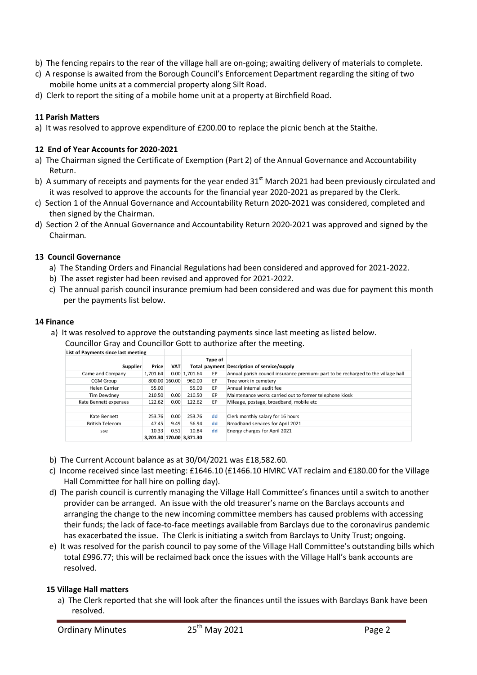- b) The fencing repairs to the rear of the village hall are on-going; awaiting delivery of materials to complete.
- c) A response is awaited from the Borough Council's Enforcement Department regarding the siting of two mobile home units at a commercial property along Silt Road.
- d) Clerk to report the siting of a mobile home unit at a property at Birchfield Road.

# **11 Parish Matters**

a) It was resolved to approve expenditure of £200.00 to replace the picnic bench at the Staithe.

## **12 End of Year Accounts for 2020-2021**

- a) The Chairman signed the Certificate of Exemption (Part 2) of the Annual Governance and Accountability Return.
- b) A summary of receipts and payments for the year ended  $31<sup>st</sup>$  March 2021 had been previously circulated and it was resolved to approve the accounts for the financial year 2020-2021 as prepared by the Clerk.
- c) Section 1 of the Annual Governance and Accountability Return 2020-2021 was considered, completed and then signed by the Chairman.
- d) Section 2 of the Annual Governance and Accountability Return 2020-2021 was approved and signed by the Chairman.

## **13 Council Governance**

- a) The Standing Orders and Financial Regulations had been considered and approved for 2021-2022.
- b) The asset register had been revised and approved for 2021-2022.
- c) The annual parish council insurance premium had been considered and was due for payment this month per the payments list below.

### **14 Finance**

- a) It was resolved to approve the outstanding payments since last meeting as listed below.
	- Councillor Gray and Councillor Gott to authorize after the meeting.

| List of Payments since last meeting |          |               |                          |         |                                                                                   |
|-------------------------------------|----------|---------------|--------------------------|---------|-----------------------------------------------------------------------------------|
| Supplier                            | Price    | <b>VAT</b>    |                          | Type of | Total payment Description of service/supply                                       |
| Came and Company                    | 1.701.64 |               | $0.00 \, 1.701.64$       | EP      | Annual parish council insurance premium- part to be recharged to the village hall |
| <b>CGM Group</b>                    |          | 800.00 160.00 | 960.00                   | EP      | Tree work in cemetery                                                             |
| Helen Carrier                       | 55.00    |               | 55.00                    | EP      | Annual internal audit fee                                                         |
| Tim Dewdney                         | 210.50   | 0.00          | 210.50                   | EP      | Maintenance works carried out to former telephone kiosk                           |
| Kate Bennett expenses               | 122.62   | 0.00          | 122.62                   | EP      | Mileage, postage, broadband, mobile etc                                           |
| Kate Bennett                        | 253.76   | 0.00          | 253.76                   | dd      | Clerk monthly salary for 16 hours                                                 |
| <b>British Telecom</b>              | 47.45    | 9.49          | 56.94                    | dd      | Broadband services for April 2021                                                 |
| sse                                 | 10.33    | 0.51          | 10.84                    | dd      | Energy charges for April 2021                                                     |
|                                     |          |               | 3.201.30 170.00 3.371.30 |         |                                                                                   |

- b) The Current Account balance as at 30/04/2021 was £18,582.60.
- c) Income received since last meeting: £1646.10 (£1466.10 HMRC VAT reclaim and £180.00 for the Village Hall Committee for hall hire on polling day).
- d) The parish council is currently managing the Village Hall Committee's finances until a switch to another provider can be arranged. An issue with the old treasurer's name on the Barclays accounts and arranging the change to the new incoming committee members has caused problems with accessing their funds; the lack of face-to-face meetings available from Barclays due to the coronavirus pandemic has exacerbated the issue. The Clerk is initiating a switch from Barclays to Unity Trust; ongoing.
- e) It was resolved for the parish council to pay some of the Village Hall Committee's outstanding bills which total £996.77; this will be reclaimed back once the issues with the Village Hall's bank accounts are resolved.

# **15 Village Hall matters**

a) The Clerk reported that she will look after the finances until the issues with Barclays Bank have been resolved.